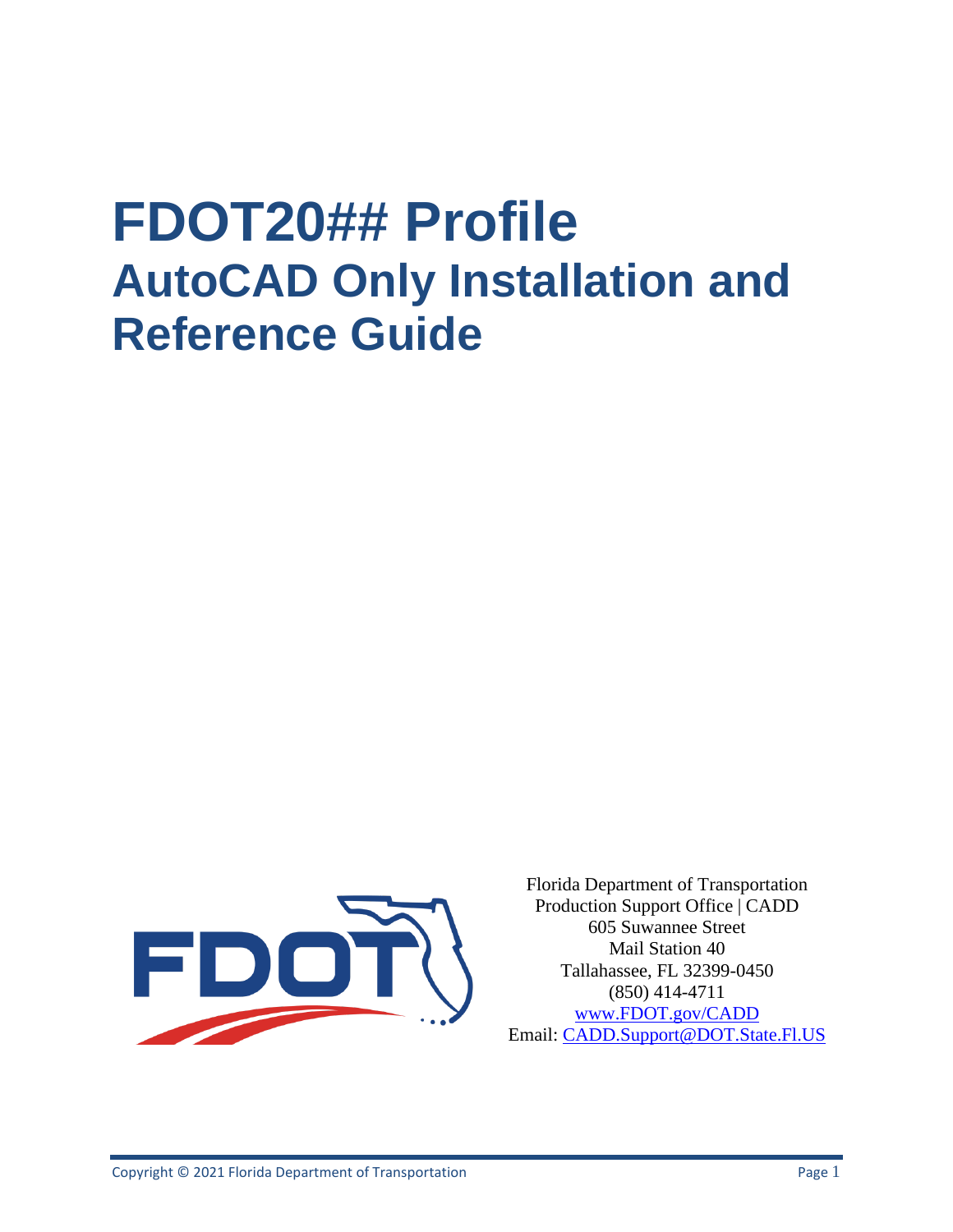# **FDOT20## Profile AutoCAD Only Installation and Reference Guide**



Florida Department of Transportation Production Support Office | CADD 605 Suwannee Street Mail Station 40 Tallahassee, FL 32399-0450 (850) 414-4711 [www.FDOT.gov/CADD](http://www.fdot.gov/CADD) Email: CADD.Support@DOT.State.Fl.US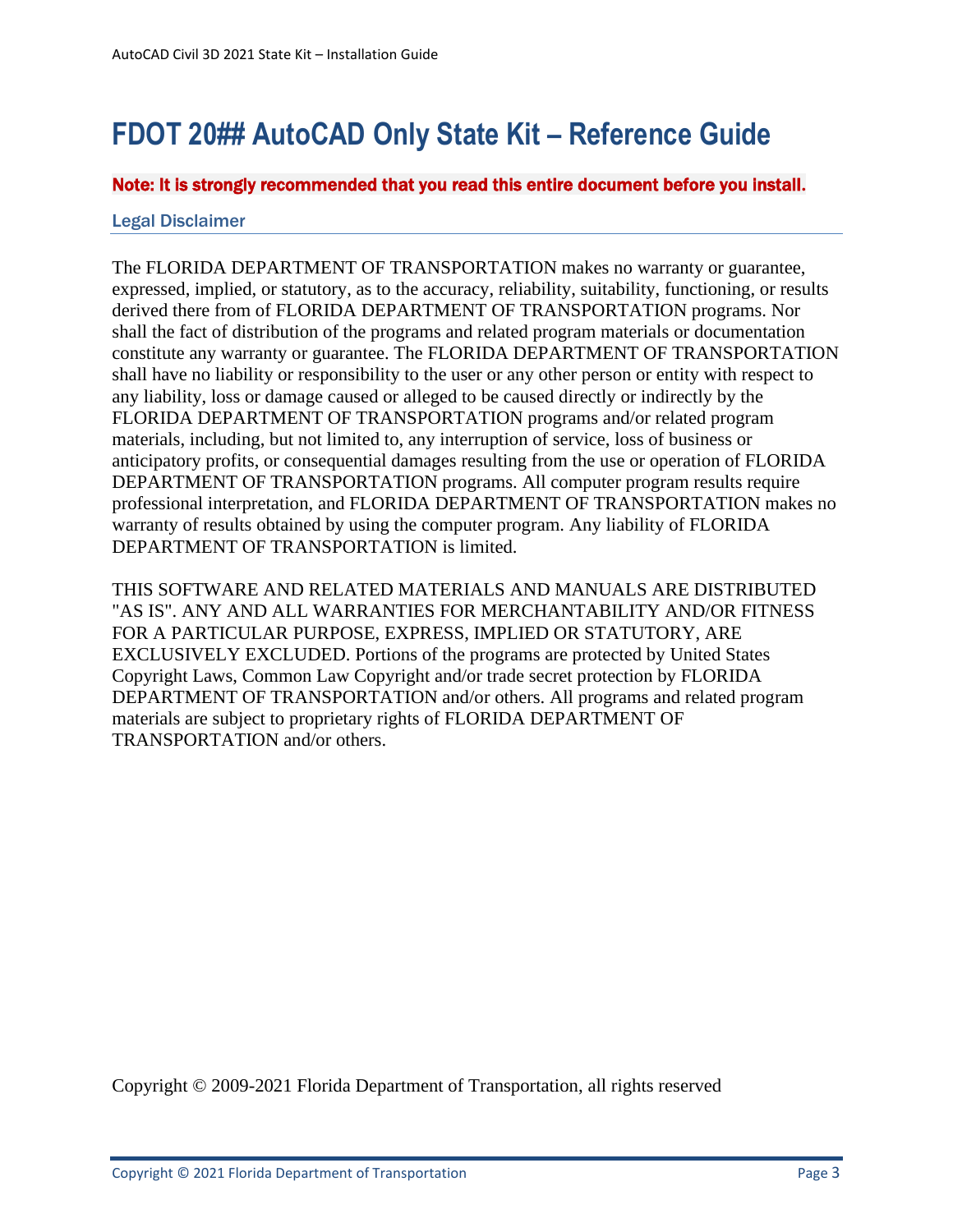# <span id="page-2-0"></span>**FDOT 20## AutoCAD Only State Kit – Reference Guide**

Note: It is strongly recommended that you read this entire document before you install**.** 

### <span id="page-2-1"></span>Legal Disclaimer

The FLORIDA DEPARTMENT OF TRANSPORTATION makes no warranty or guarantee, expressed, implied, or statutory, as to the accuracy, reliability, suitability, functioning, or results derived there from of FLORIDA DEPARTMENT OF TRANSPORTATION programs. Nor shall the fact of distribution of the programs and related program materials or documentation constitute any warranty or guarantee. The FLORIDA DEPARTMENT OF TRANSPORTATION shall have no liability or responsibility to the user or any other person or entity with respect to any liability, loss or damage caused or alleged to be caused directly or indirectly by the FLORIDA DEPARTMENT OF TRANSPORTATION programs and/or related program materials, including, but not limited to, any interruption of service, loss of business or anticipatory profits, or consequential damages resulting from the use or operation of FLORIDA DEPARTMENT OF TRANSPORTATION programs. All computer program results require professional interpretation, and FLORIDA DEPARTMENT OF TRANSPORTATION makes no warranty of results obtained by using the computer program. Any liability of FLORIDA DEPARTMENT OF TRANSPORTATION is limited.

THIS SOFTWARE AND RELATED MATERIALS AND MANUALS ARE DISTRIBUTED "AS IS". ANY AND ALL WARRANTIES FOR MERCHANTABILITY AND/OR FITNESS FOR A PARTICULAR PURPOSE, EXPRESS, IMPLIED OR STATUTORY, ARE EXCLUSIVELY EXCLUDED. Portions of the programs are protected by United States Copyright Laws, Common Law Copyright and/or trade secret protection by FLORIDA DEPARTMENT OF TRANSPORTATION and/or others. All programs and related program materials are subject to proprietary rights of FLORIDA DEPARTMENT OF TRANSPORTATION and/or others.

Copyright © 2009-2021 Florida Department of Transportation, all rights reserved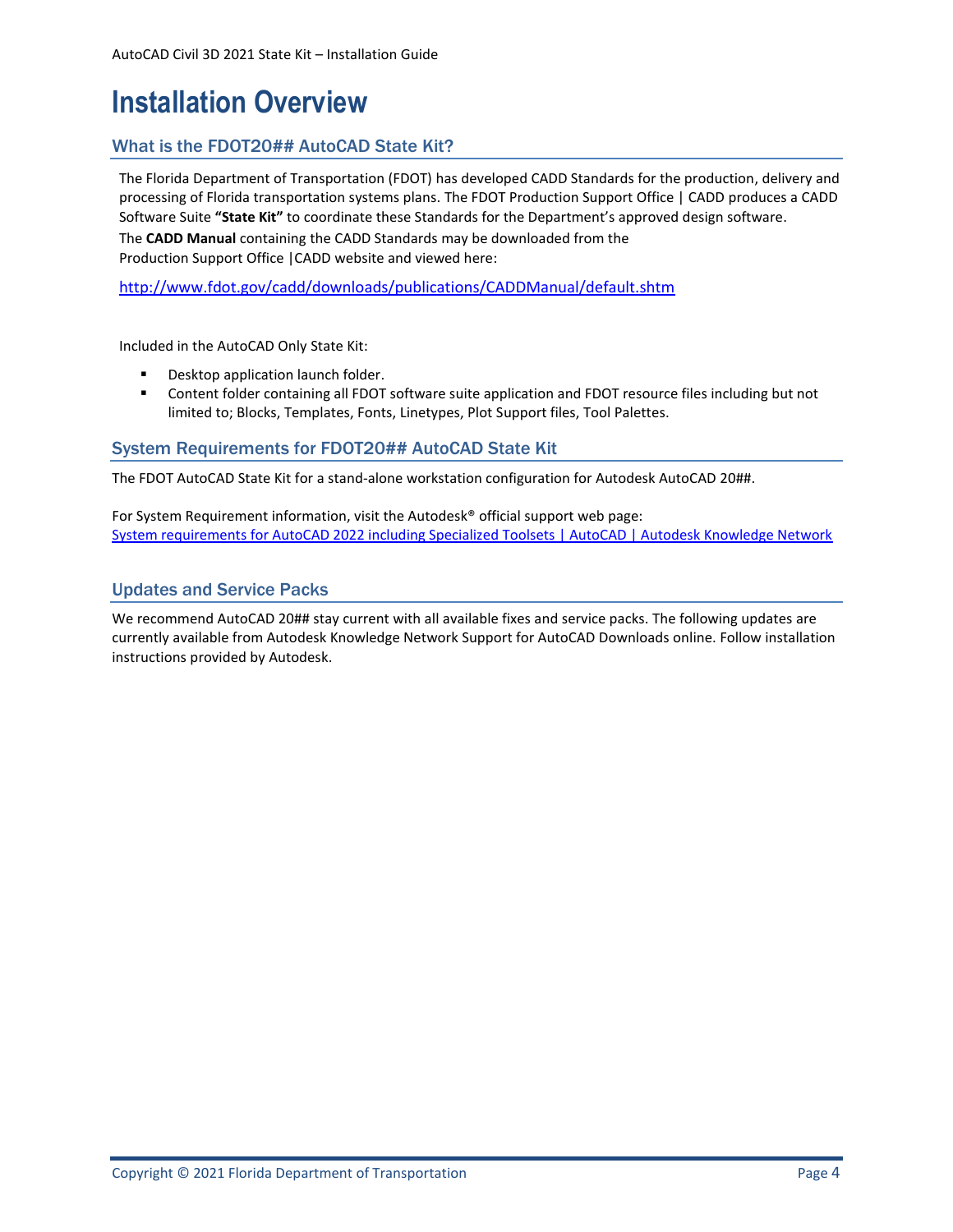# <span id="page-3-0"></span>**Installation Overview**

### <span id="page-3-1"></span>What is the FDOT20## AutoCAD State Kit?

The Florida Department of Transportation (FDOT) has developed CADD Standards for the production, delivery and processing of Florida transportation systems plans. The FDOT Production Support Office | CADD produces a CADD Software Suite **"State Kit"** to coordinate these Standards for the Department's approved design software.

The **CADD Manual** containing the CADD Standards may be downloaded from the Production Support Office |CADD website and viewed here:

<http://www.fdot.gov/cadd/downloads/publications/CADDManual/default.shtm>

Included in the AutoCAD Only State Kit:

- Desktop application launch folder.
- Content folder containing all FDOT software suite application and FDOT resource files including but not limited to; Blocks, Templates, Fonts, Linetypes, Plot Support files, Tool Palettes.

#### <span id="page-3-2"></span>System Requirements for FDOT20## AutoCAD State Kit

The FDOT AutoCAD State Kit for a stand-alone workstation configuration for Autodesk AutoCAD 20##.

For System Requirement information, visit the Autodesk® official support web page: [System requirements for AutoCAD 2022 including Specialized Toolsets | AutoCAD | Autodesk Knowledge Network](https://knowledge.autodesk.com/support/autocad/troubleshooting/caas/sfdcarticles/sfdcarticles/System-requirements-for-AutoCAD-2022-including-Specialized-Toolsets.html)

### <span id="page-3-3"></span>Updates and Service Packs

We recommend AutoCAD 20## stay current with all available fixes and service packs. The following updates are currently available from Autodesk Knowledge Network Support for AutoCAD Downloads online. Follow installation instructions provided by Autodesk.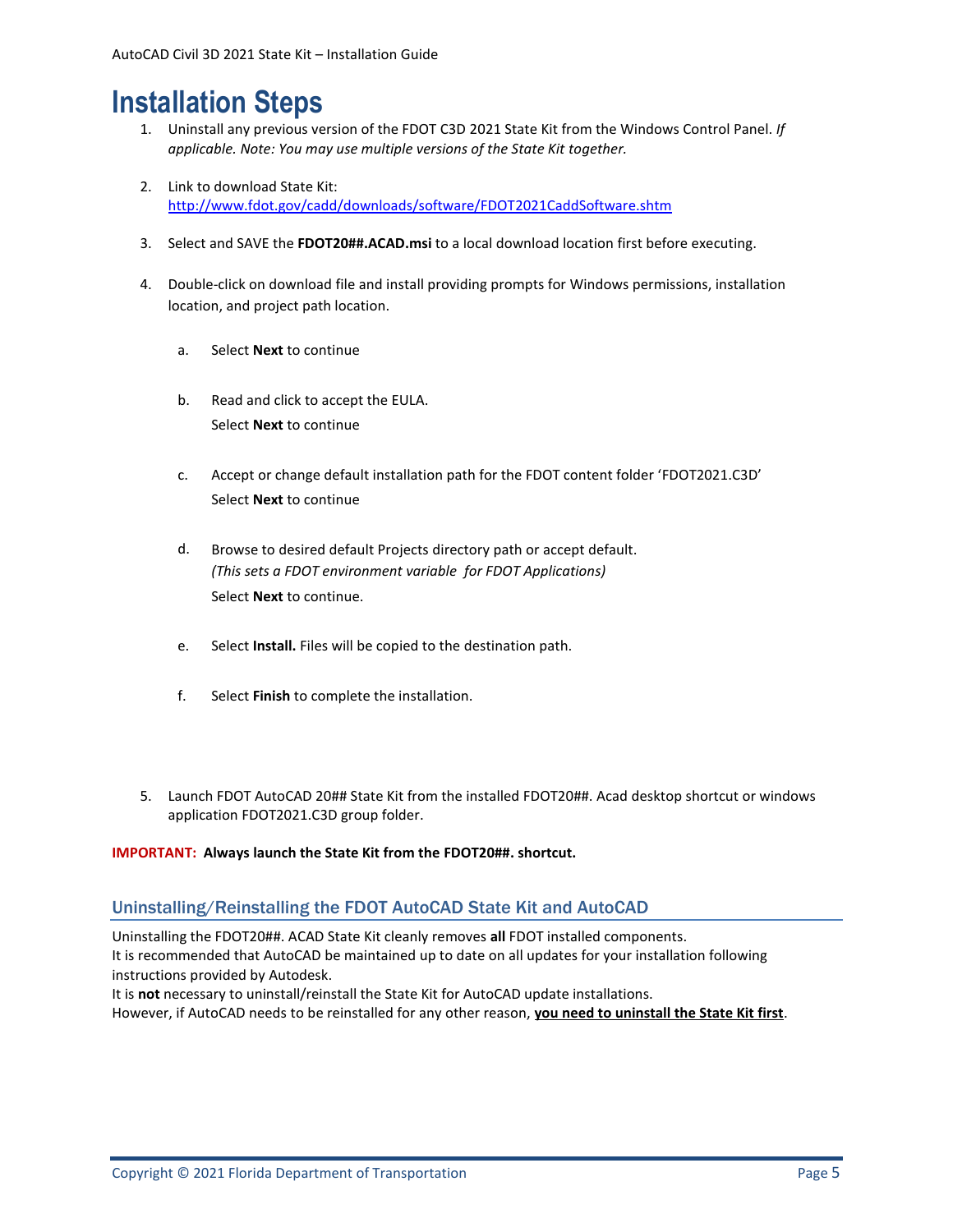## <span id="page-4-0"></span>**Installation Steps**

- 1. Uninstall any previous version of the FDOT C3D 2021 State Kit from the Windows Control Panel. *If applicable. Note: You may use multiple versions of the State Kit together.*
- 2. Link to download State Kit: [http://www.fdot.gov/cadd/downloads/software/FDOT2021CaddSoftware.shtm](http://www.fdot.gov/cadd/downloads/software/FDOT2020CaddSoftware.shtm)
- 3. Select and SAVE the **FDOT20##.ACAD.msi** to a local download location first before executing.
- 4. Double-click on download file and install providing prompts for Windows permissions, installation location, and project path location.
	- a. Select **Next** to continue
	- b. Read and click to accept the EULA. Select **Next** to continue
	- c. Accept or change default installation path for the FDOT content folder 'FDOT2021.C3D' Select **Next** to continue
	- d. Browse to desired default Projects directory path or accept default. *(This sets a FDOT environment variable for FDOT Applications)* Select **Next** to continue.
	- e. Select **Install.** Files will be copied to the destination path.
	- f. Select **Finish** to complete the installation.
- 5. Launch FDOT AutoCAD 20## State Kit from the installed FDOT20##. Acad desktop shortcut or windows application FDOT2021.C3D group folder.

#### **IMPORTANT: Always launch the State Kit from the FDOT20##. shortcut.**

### <span id="page-4-1"></span>Uninstalling/Reinstalling the FDOT AutoCAD State Kit and AutoCAD

Uninstalling the FDOT20##. ACAD State Kit cleanly removes **all** FDOT installed components. It is recommended that AutoCAD be maintained up to date on all updates for your installation following instructions provided by Autodesk. It is **not** necessary to uninstall/reinstall the State Kit for AutoCAD update installations.

However, if AutoCAD needs to be reinstalled for any other reason, **you need to uninstall the State Kit first**.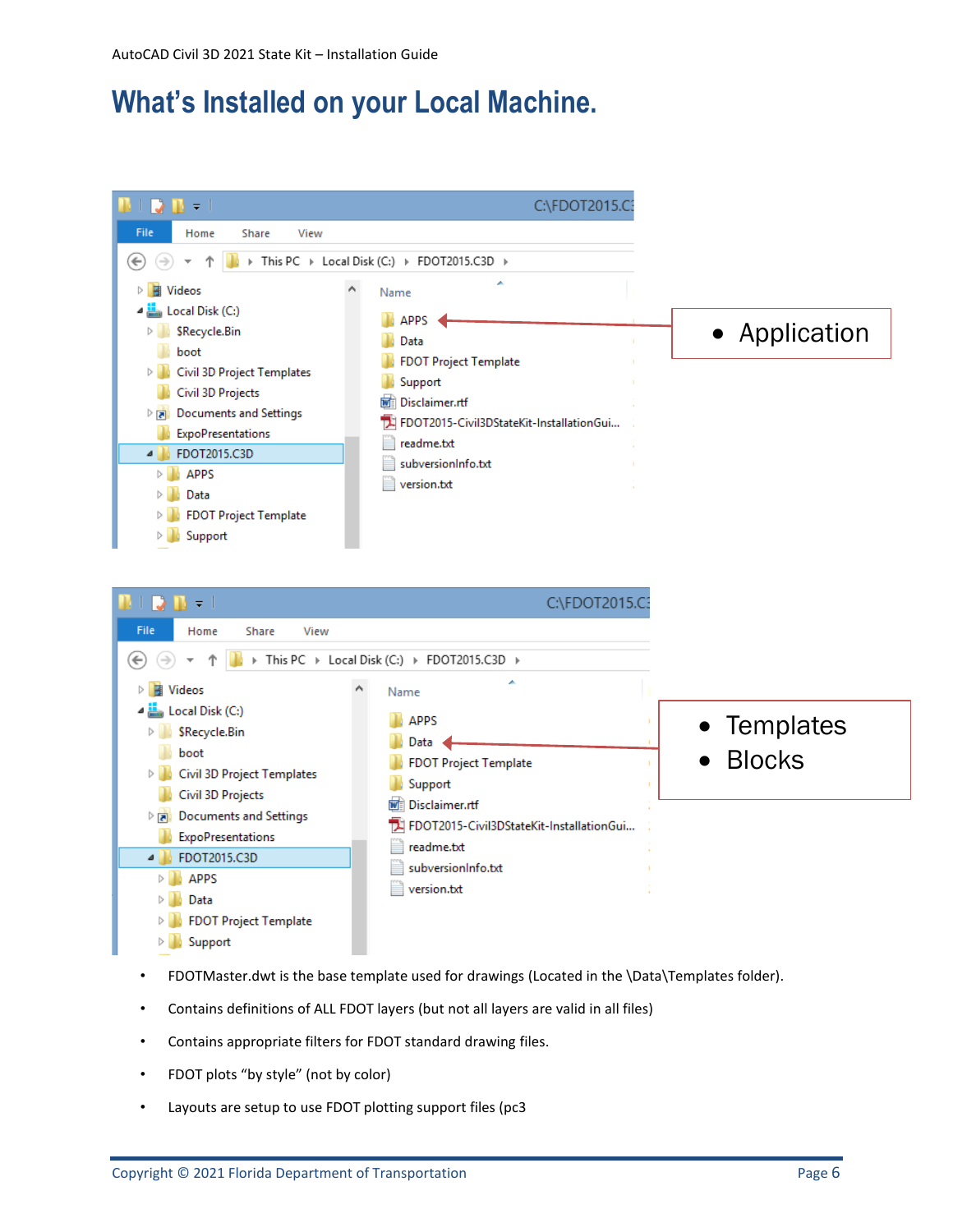# <span id="page-5-0"></span>**What's Installed on your Local Machine.**



- FDOTMaster.dwt is the base template used for drawings (Located in the \Data\Templates folder).
- Contains definitions of ALL FDOT layers (but not all layers are valid in all files)
- Contains appropriate filters for FDOT standard drawing files.
- FDOT plots "by style" (not by color)
- Layouts are setup to use FDOT plotting support files (pc3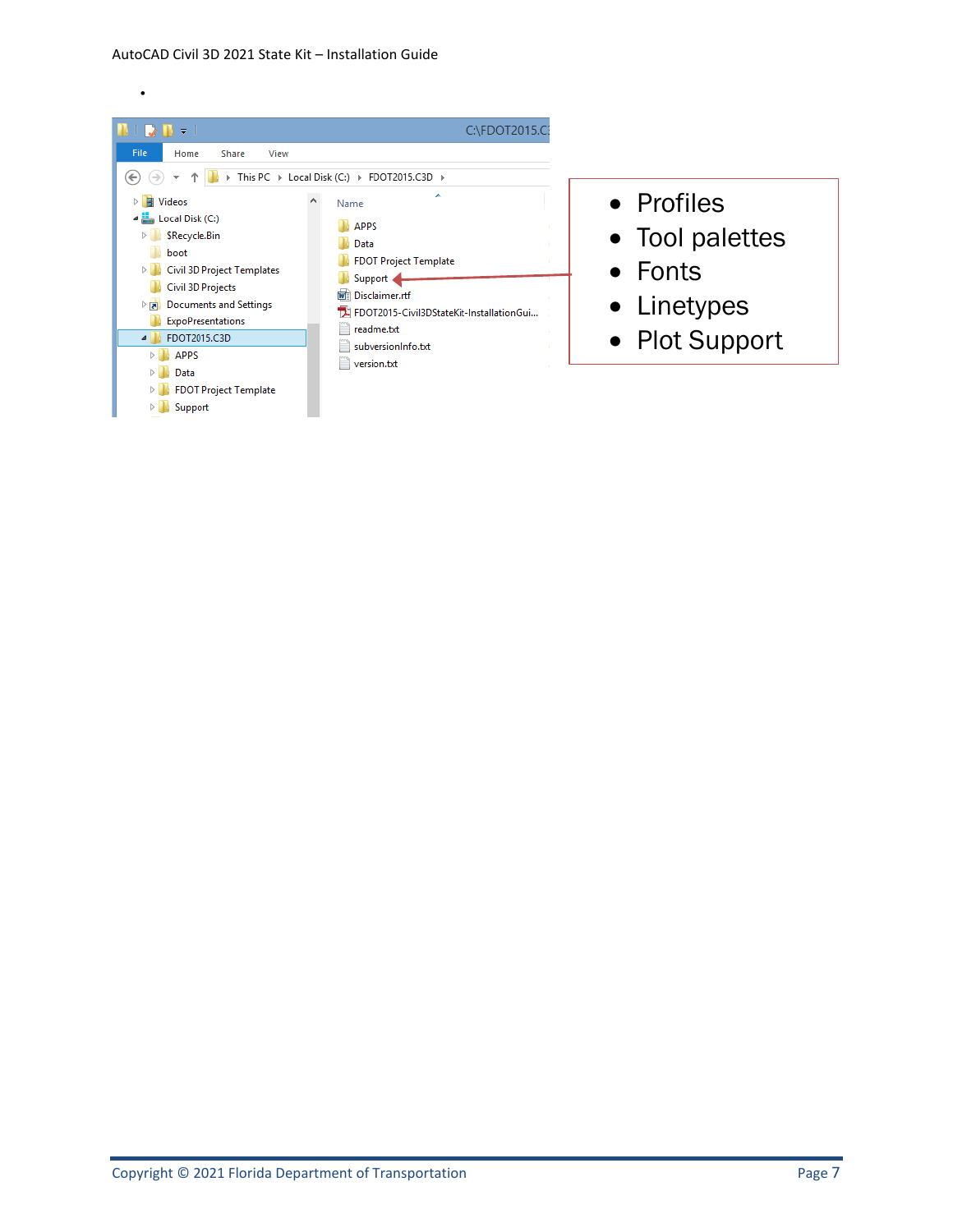•



- Profiles
- Tool palettes
- Fonts
- Linetypes
- Plot Support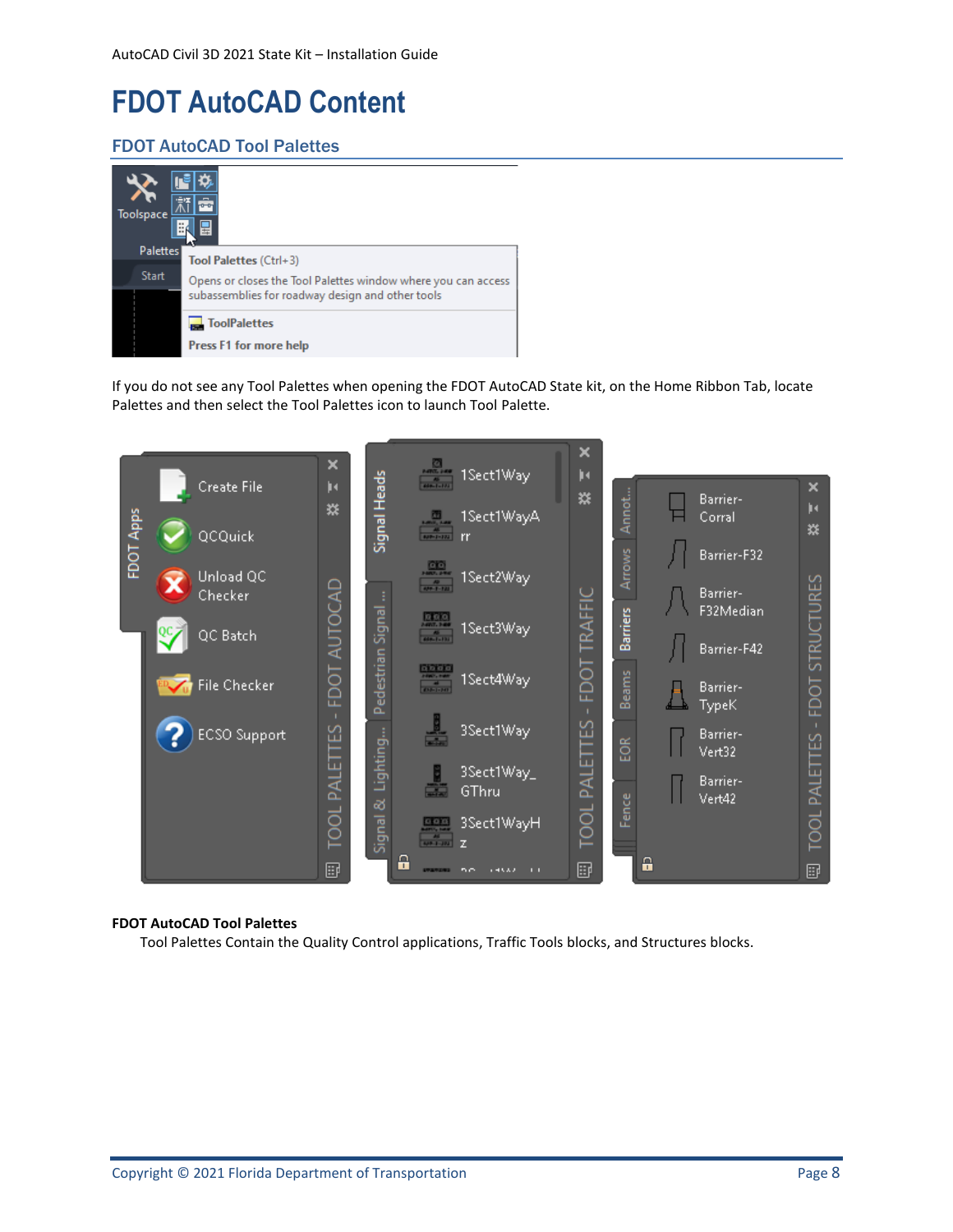# <span id="page-7-0"></span>**FDOT AutoCAD Content**

### <span id="page-7-1"></span>FDOT AutoCAD Tool Palettes

| Toolspace       |                                                                                                                   |
|-----------------|-------------------------------------------------------------------------------------------------------------------|
| <b>Palettes</b> | Tool Palettes (Ctrl+3)                                                                                            |
| <b>Start</b>    | Opens or closes the Tool Palettes window where you can access<br>subassemblies for roadway design and other tools |
|                 | <b>ToolPalettes</b><br><b>Press F1 for more help</b>                                                              |

If you do not see any Tool Palettes when opening the FDOT AutoCAD State kit, on the Home Ribbon Tab, locate Palettes and then select the Tool Palettes icon to launch Tool Palette.



#### **FDOT AutoCAD Tool Palettes**

Tool Palettes Contain the Quality Control applications, Traffic Tools blocks, and Structures blocks.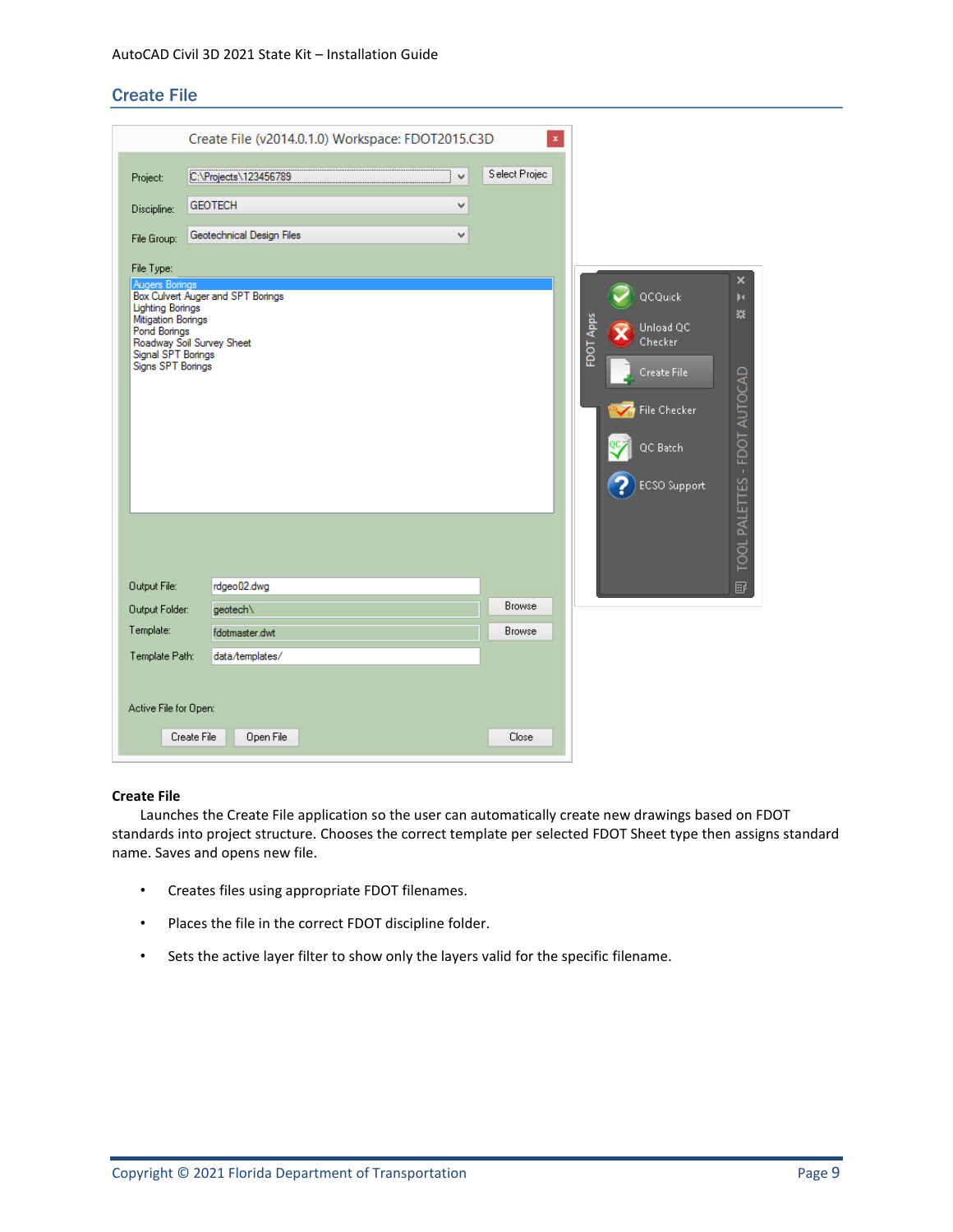#### <span id="page-8-0"></span>Create File

|                                                                                                          | Create File (v2014.0.1.0) Workspace: FDOT2015.C3D |   | $\mathbf x$<br>Select Projec |                                          |
|----------------------------------------------------------------------------------------------------------|---------------------------------------------------|---|------------------------------|------------------------------------------|
| Project:                                                                                                 | C:\Projects\123456789                             | v |                              |                                          |
| Discipline:                                                                                              | <b>GEOTECH</b>                                    | v |                              |                                          |
| File Group:                                                                                              | Geotechnical Design Files                         | v |                              |                                          |
| File Type:                                                                                               |                                                   |   |                              |                                          |
| Augers Borings                                                                                           | Box Culvert Auger and SPT Borings                 |   |                              | ×<br>QCQuick<br>þе                       |
| <b>Lighting Borings</b><br>Mitigation Borings<br>Pond Borings<br>Signal SPT Borings<br>Signs SPT Borings | Roadway Soil Survey Sheet                         |   |                              | ※<br>FDOT Apps<br>Unload QC<br>Checker   |
|                                                                                                          |                                                   |   |                              | Create File                              |
|                                                                                                          |                                                   |   |                              | File Checker                             |
|                                                                                                          |                                                   |   |                              | TOOL PALETTES - FDOT AUTOCAD<br>QC Batch |
|                                                                                                          |                                                   |   |                              | <b>ECSO</b> Support                      |
|                                                                                                          |                                                   |   |                              |                                          |
|                                                                                                          |                                                   |   |                              |                                          |
| Output File:                                                                                             | rdgeo02.dwg                                       |   |                              | B                                        |
| Output Folder:                                                                                           | geotech\                                          |   | <b>Browse</b>                |                                          |
| Template:                                                                                                | fdotmaster.dwt                                    |   | <b>Browse</b>                |                                          |
| Template Path:                                                                                           | data/templates/                                   |   |                              |                                          |
|                                                                                                          |                                                   |   |                              |                                          |
| Active File for Open:                                                                                    |                                                   |   |                              |                                          |
|                                                                                                          | Create File<br>Open File                          |   | Close                        |                                          |

#### **Create File**

Launches the Create File application so the user can automatically create new drawings based on FDOT standards into project structure. Chooses the correct template per selected FDOT Sheet type then assigns standard name. Saves and opens new file.

- Creates files using appropriate FDOT filenames.
- Places the file in the correct FDOT discipline folder.
- Sets the active layer filter to show only the layers valid for the specific filename.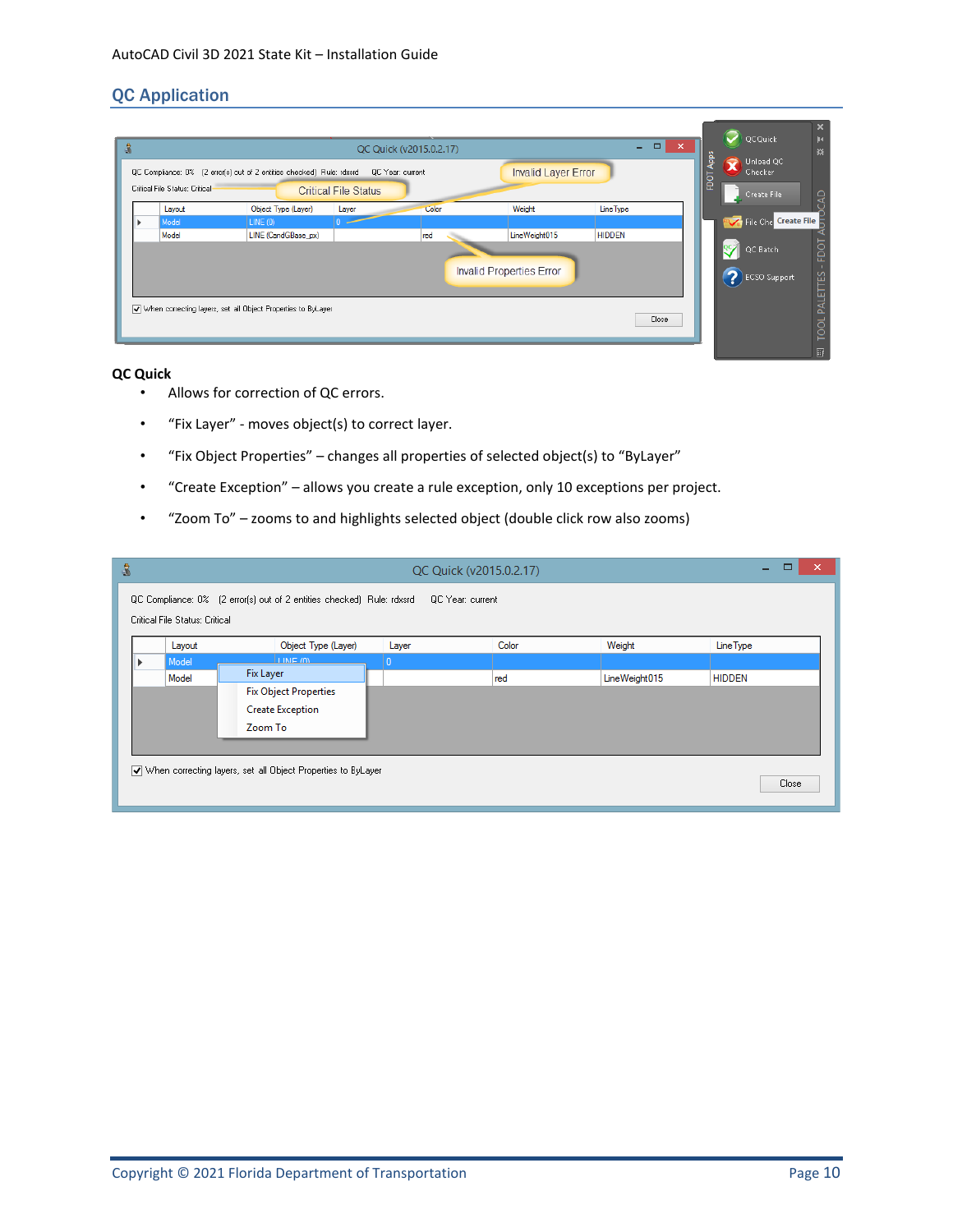### <span id="page-9-0"></span>QC Application

| ٥ |                                |                                                                                                                         |                             | QC Quick (v2015.0.2.17) |                                                            | $ -$                              | $\mathbf{x}$ | QCQuick                                                           | ×<br>þч<br>燚                                                                               |
|---|--------------------------------|-------------------------------------------------------------------------------------------------------------------------|-----------------------------|-------------------------|------------------------------------------------------------|-----------------------------------|--------------|-------------------------------------------------------------------|--------------------------------------------------------------------------------------------|
|   | Critical File Status: Critical | QC Compliance: 0% (2 error(s) out of 2 entities checked) Rule: rdxsrd QC Year: current                                  | <b>Critical File Status</b> |                         | <b>Invalid Layer Error</b>                                 |                                   |              | App:<br>Unload QC<br>c<br>Checker<br>c<br>≏<br><b>Create File</b> |                                                                                            |
|   | Layout<br>Model<br>Model       | Object Type (Layer)<br>LINE(0)<br>LINE (CandGBase_px)<br>V When correcting layers, set all Object Properties to ByLayer | Layer                       | Color<br>red            | Weight<br>LineWeight015<br><b>Invalid Properties Error</b> | <b>Line Type</b><br><b>HIDDEN</b> |              | QC Batch<br>$\bullet$                                             | <b>P</b> <sub>V</sub> File Che Create File<br>FDOT<br><b>TOOL PALETTES</b><br>ECSO Support |
|   |                                |                                                                                                                         |                             |                         |                                                            |                                   | Close        |                                                                   | <b>Read</b>                                                                                |

#### **QC Quick**

- Allows for correction of QC errors.
- "Fix Layer" moves object(s) to correct layer.
- "Fix Object Properties" changes all properties of selected object(s) to "ByLayer"
- "Create Exception" allows you create a rule exception, only 10 exceptions per project.
- "Zoom To" zooms to and highlights selected object (double click row also zooms)

| 8 |                                                                                          |        |                              |          | QC Quick (v2015.0.2.17) |               | $\boldsymbol{\mathsf{x}}$<br>- |  |
|---|------------------------------------------------------------------------------------------|--------|------------------------------|----------|-------------------------|---------------|--------------------------------|--|
|   | QC Compliance: 0% [2 error(s) out of 2 entities checked) Rule: rdxsrd   QC Year: current |        |                              |          |                         |               |                                |  |
|   | Critical File Status: Critical                                                           |        |                              |          |                         |               |                                |  |
|   |                                                                                          | Layout | Object Type (Layer)          | Layer    | Color                   | Weight        | <b>Line Type</b>               |  |
|   | Model                                                                                    |        | <b>I INE /M</b>              | <b>0</b> |                         |               |                                |  |
|   | Model                                                                                    |        | Fix Layer                    |          | red                     | LineWeight015 | <b>HIDDEN</b>                  |  |
|   |                                                                                          |        | <b>Fix Object Properties</b> |          |                         |               |                                |  |
|   |                                                                                          |        | <b>Create Exception</b>      |          |                         |               |                                |  |
|   |                                                                                          |        | Zoom To                      |          |                         |               |                                |  |
|   |                                                                                          |        |                              |          |                         |               |                                |  |
|   |                                                                                          |        |                              |          |                         |               |                                |  |
|   | V when correcting layers, set all Object Properties to ByLayer                           |        |                              |          |                         |               |                                |  |
|   |                                                                                          |        |                              |          |                         |               | Close                          |  |
|   |                                                                                          |        |                              |          |                         |               |                                |  |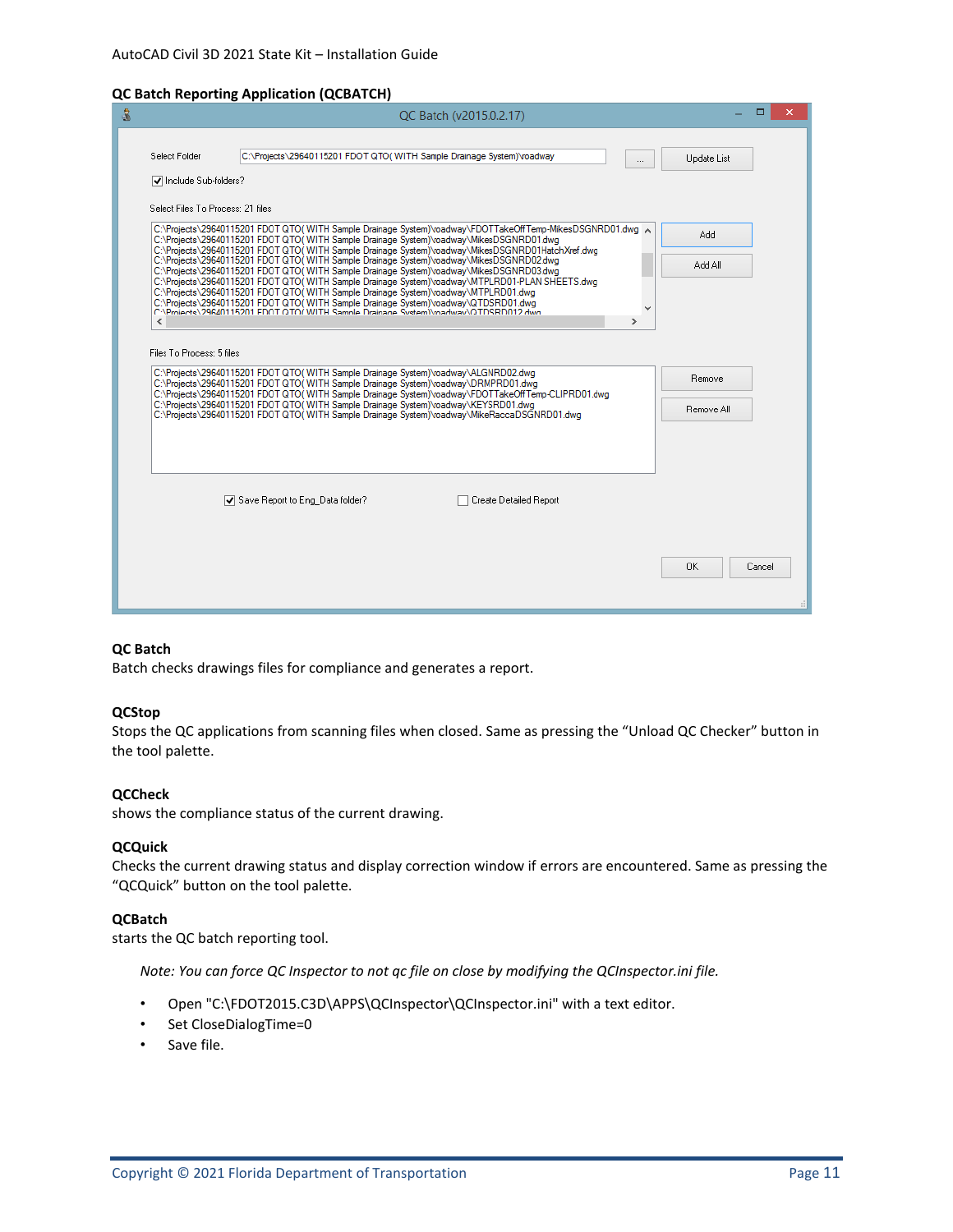#### **QC Batch Reporting Application (QCBATCH)**

| ه |                                   | QC Batch (v2015.0.2.17)                                                                                                                                                                                                                                                        |                | ▭<br>$\boldsymbol{\times}$ |
|---|-----------------------------------|--------------------------------------------------------------------------------------------------------------------------------------------------------------------------------------------------------------------------------------------------------------------------------|----------------|----------------------------|
|   |                                   |                                                                                                                                                                                                                                                                                |                |                            |
|   | Select Folder                     | C:\Projects\29640115201 FDOT QTO(WITH Sample Drainage System)\roadway<br>                                                                                                                                                                                                      | Update List    |                            |
|   | √ Include Sub-folders?            |                                                                                                                                                                                                                                                                                |                |                            |
|   | Select Files To Process: 21 files |                                                                                                                                                                                                                                                                                |                |                            |
|   |                                   | C:\Projects\29640115201 FDOT QTO(WITH Sample Drainage System)\roadway\FDOTTakeOffTemp-MikesDSGNRD01.dwg ~<br>C:\Projects\29640115201 FDOT QTO(WITH Sample Drainage System)\roadway\MikesDSGNRD01.dwg                                                                           | Add            |                            |
|   |                                   | C:\Projects\29640115201 FDOT QTO(WITH Sample Drainage System)\roadway\MikesDSGNRD01HatchXref.dwg<br>C:\Projects\29640115201 FDOT QTO(WITH Sample Drainage System)\roadway\MikesDSGNRD02.dwg                                                                                    | <b>IIA bbA</b> |                            |
|   |                                   | C:\Projects\29640115201 FDOT QTO(WITH Sample Drainage System)\roadway\MikesDSGNRD03.dwg<br>C:\Projects\29640115201 FDOT QTO(WITH Sample Drainage System)\roadway\MTPLRD01-PLAN SHEETS.dwg                                                                                      |                |                            |
|   |                                   | C:\Projects\29640115201 FDOT QTO(WITH Sample Drainage System)\roadway\MTPLRD01.dwg<br>C:\Projects\29640115201 FDOT QTO(WITH Sample Drainage System)\roadway\QTDSRD01.dwg                                                                                                       |                |                            |
|   | ⋖                                 | v<br>C:\Pmiects\29640115201 FDOT QTO(WITH Sample Drainage System)\madway\QTDSRD012 dwg<br>$\rightarrow$                                                                                                                                                                        |                |                            |
|   | Files To Process: 5 files         |                                                                                                                                                                                                                                                                                |                |                            |
|   |                                   | C:\Projects\29640115201 FDOT QTO(WITH Sample Drainage System)\roadway\ALGNRD02.dwg<br>C:\Projects\29640115201 FDOT QTO(WITH Sample Drainage System)\roadway\DRMPRD01.dwg<br>C:\Projects\29640115201 FDOT QTO(WITH Sample Drainage System)\roadway\FDOTTakeOffTemp-CLIPRD01.dwg | <b>Remove</b>  |                            |
|   |                                   | C:\Projects\29640115201 FDOT QTO(WITH Sample Drainage System)\roadway\KEYSRD01.dwg<br>C:\Projects\29640115201 FDOT QTO(WITH Sample Drainage System)\roadway\MikeRaccaDSGNRD01.dwg                                                                                              | Remove All     |                            |
|   |                                   |                                                                                                                                                                                                                                                                                |                |                            |
|   |                                   |                                                                                                                                                                                                                                                                                |                |                            |
|   |                                   | Save Report to Eng. Data folder?<br>Create Detailed Report                                                                                                                                                                                                                     |                |                            |
|   |                                   |                                                                                                                                                                                                                                                                                |                |                            |
|   |                                   |                                                                                                                                                                                                                                                                                | <b>OK</b>      | Cancel                     |
|   |                                   |                                                                                                                                                                                                                                                                                |                |                            |

#### **QC Batch**

Batch checks drawings files for compliance and generates a report.

#### **QCStop**

Stops the QC applications from scanning files when closed. Same as pressing the "Unload QC Checker" button in the tool palette.

#### **QCCheck**

shows the compliance status of the current drawing.

#### **QCQuick**

Checks the current drawing status and display correction window if errors are encountered. Same as pressing the "QCQuick" button on the tool palette.

#### **QCBatch**

starts the QC batch reporting tool.

*Note: You can force QC Inspector to not qc file on close by modifying the QCInspector.ini file.* 

- Open "C:\FDOT2015.C3D\APPS\QCInspector\QCInspector.ini" with a text editor.
- Set CloseDialogTime=0
- Save file.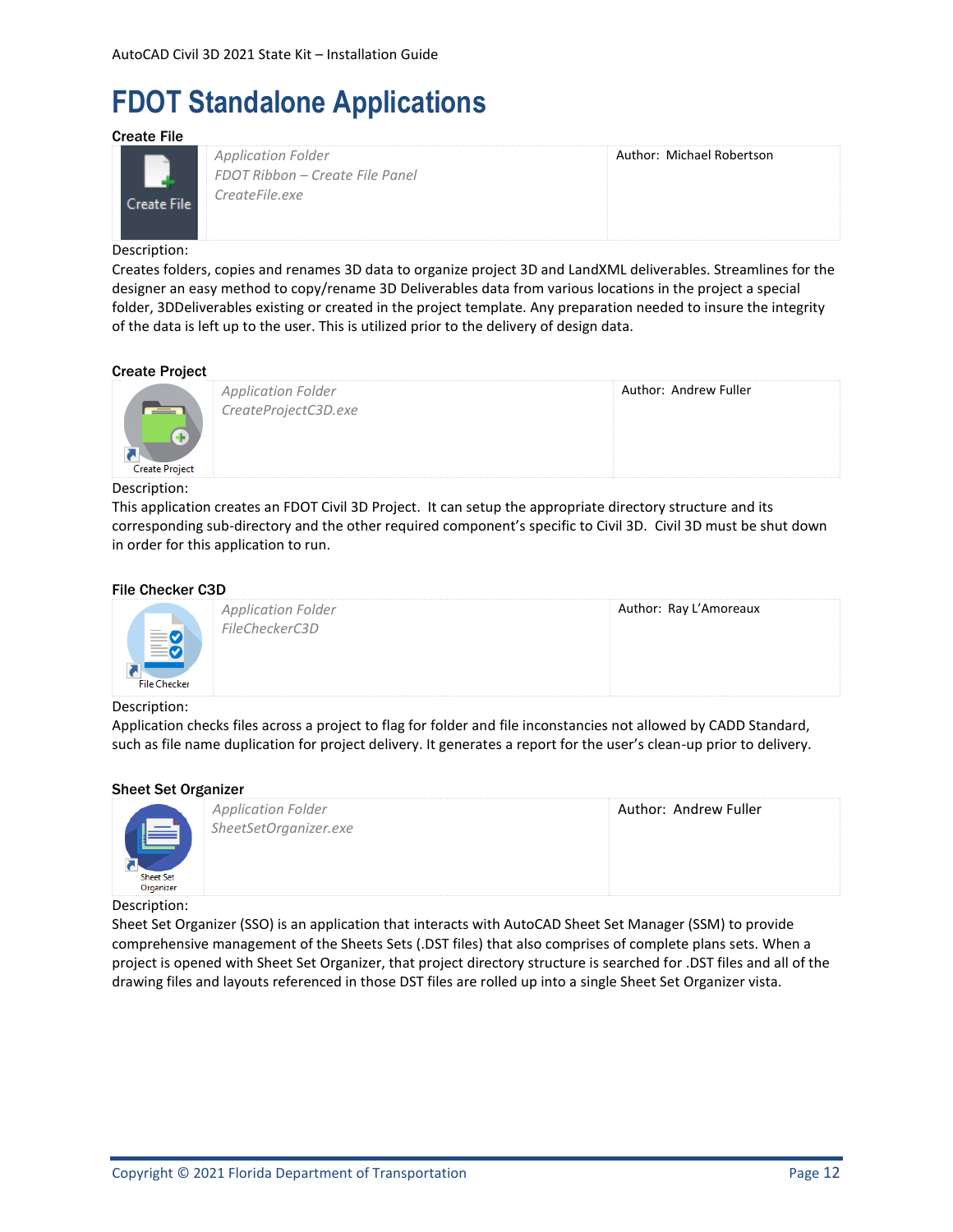# <span id="page-11-0"></span>**FDOT Standalone Applications**

<span id="page-11-1"></span>Create File



*Application Folder FDOT Ribbon – Create File Panel CreateFile.exe*

Author: Michael Robertson

#### Description:

Creates folders, copies and renames 3D data to organize project 3D and LandXML deliverables. Streamlines for the designer an easy method to copy/rename 3D Deliverables data from various locations in the project a special folder, 3DDeliverables existing or created in the project template. Any preparation needed to insure the integrity of the data is left up to the user. This is utilized prior to the delivery of design data.

#### <span id="page-11-2"></span>Create Project



*Application Folder CreateProjectC3D.exe* Author: Andrew Fuller

#### Description:

This application creates an FDOT Civil 3D Project. It can setup the appropriate directory structure and its corresponding sub-directory and the other required component's specific to Civil 3D. Civil 3D must be shut down in order for this application to run.

#### <span id="page-11-3"></span>File Checker C3D



#### Description:

Application checks files across a project to flag for folder and file inconstancies not allowed by CADD Standard, such as file name duplication for project delivery. It generates a report for the user's clean-up prior to delivery.

#### <span id="page-11-4"></span>Sheet Set Organizer

| <b>Sheet Set</b><br>Organizer | <b>Application Folder</b><br>SheetSetOrganizer.exe | Author: Andrew Fuller |
|-------------------------------|----------------------------------------------------|-----------------------|
|                               |                                                    |                       |

#### Description:

Sheet Set Organizer (SSO) is an application that interacts with AutoCAD Sheet Set Manager (SSM) to provide comprehensive management of the Sheets Sets (.DST files) that also comprises of complete plans sets. When a project is opened with Sheet Set Organizer, that project directory structure is searched for .DST files and all of the drawing files and layouts referenced in those DST files are rolled up into a single Sheet Set Organizer vista.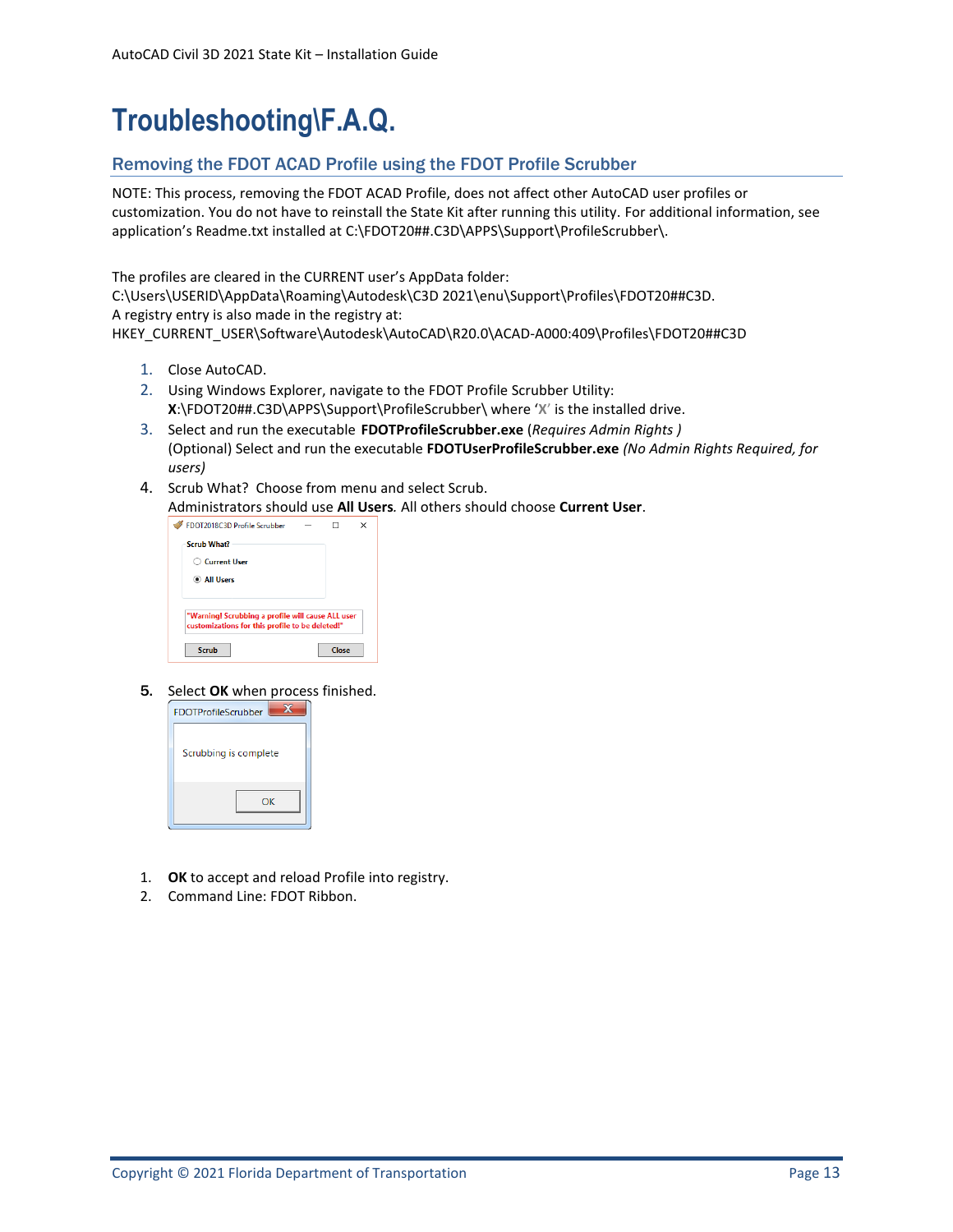# <span id="page-12-0"></span>**Troubleshooting\F.A.Q.**

### <span id="page-12-1"></span>Removing the FDOT ACAD Profile using the FDOT Profile Scrubber

NOTE: This process, removing the FDOT ACAD Profile, does not affect other AutoCAD user profiles or customization. You do not have to reinstall the State Kit after running this utility. For additional information, see application's Readme.txt installed at [C:\FDOT20##.C3D\APPS\Support\ProfileScrubber\.](file:///C:/FDOT2012.C3D/APPS/Support/ProfileScrubber/)

The profiles are cleared in the CURRENT user's AppData folder:

C:\Users\USERID\AppData\Roaming\Autodesk\C3D 2021\enu\Support\Profiles\FDOT20##C3D. A registry entry is also made in the registry at:

HKEY\_CURRENT\_USER\Software\Autodesk\AutoCAD\R20.0\ACAD-A000:409\Profiles\FDOT20##C3D

- 1. Close AutoCAD.
- 2. Using Windows Explorer, navigate to the FDOT Profile Scrubber Utility: **X**[:\FDOT20##.C3D\APPS\Support\ProfileScrubber\](file:///C:/FDOT2012.C3D/APPS/Support/ProfileScrubber/) where '**X**' is the installed drive.
- 3. Select and run the executable **FDOTProfileScrubber.exe** (*Requires Admin Rights )* (Optional) Select and run the executable **FDOTUserProfileScrubber.exe** *(No Admin Rights Required, for users)*
- 4. Scrub What? Choose from menu and select Scrub.

Administrators should use **All Users***.* All others should choose **Current User**.

| <b>FDOT2018C3D Profile Scrubber</b>                                                                  |       | × |
|------------------------------------------------------------------------------------------------------|-------|---|
| Scrub What?                                                                                          |       |   |
| <b>Current User</b>                                                                                  |       |   |
| C All Users                                                                                          |       |   |
|                                                                                                      |       |   |
| "Warning! Scrubbing a profile will cause ALL user<br>customizations for this profile to be deleted!" |       |   |
| Scrub                                                                                                | Close |   |

5. Select **OK** when process finished.



- 1. **OK** to accept and reload Profile into registry.
- 2. Command Line: FDOT Ribbon.